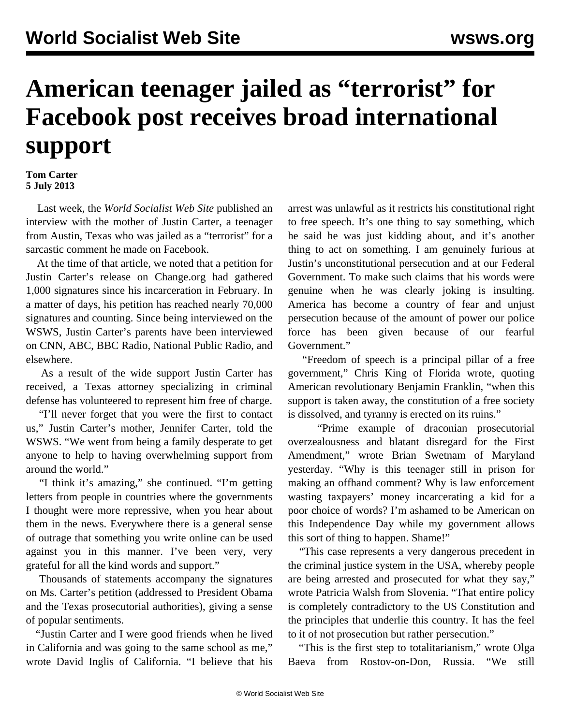## **American teenager jailed as "terrorist" for Facebook post receives broad international support**

## **Tom Carter 5 July 2013**

 Last week, the *World Socialist Web Site* published an [interview](/en/articles/2013/06/29/cart-j29.html) with the mother of Justin Carter, a teenager from Austin, Texas who was jailed as a "terrorist" for a sarcastic comment he made on Facebook.

 At the time of that article, we noted that a petition for Justin Carter's release on [Change.org](https://www.change.org/petitions/release-my-son-justin-carter-in-jail-for-a-facebook-comment) had gathered 1,000 signatures since his incarceration in February. In a matter of days, his petition has reached nearly 70,000 signatures and counting. Since being interviewed on the WSWS, Justin Carter's parents have been interviewed on CNN, ABC, BBC Radio, National Public Radio, and elsewhere.

 As a result of the wide support Justin Carter has received, a Texas attorney specializing in criminal defense has volunteered to represent him free of charge.

 "I'll never forget that you were the first to contact us," Justin Carter's mother, Jennifer Carter, told the WSWS. "We went from being a family desperate to get anyone to help to having overwhelming support from around the world."

 "I think it's amazing," she continued. "I'm getting letters from people in countries where the governments I thought were more repressive, when you hear about them in the news. Everywhere there is a general sense of outrage that something you write online can be used against you in this manner. I've been very, very grateful for all the kind words and support."

 Thousands of statements accompany the signatures on Ms. Carter's petition (addressed to President Obama and the Texas prosecutorial authorities), giving a sense of popular sentiments.

 "Justin Carter and I were good friends when he lived in California and was going to the same school as me," wrote David Inglis of California. "I believe that his arrest was unlawful as it restricts his constitutional right to free speech. It's one thing to say something, which he said he was just kidding about, and it's another thing to act on something. I am genuinely furious at Justin's unconstitutional persecution and at our Federal Government. To make such claims that his words were genuine when he was clearly joking is insulting. America has become a country of fear and unjust persecution because of the amount of power our police force has been given because of our fearful Government."

 "Freedom of speech is a principal pillar of a free government," Chris King of Florida wrote, quoting American revolutionary Benjamin Franklin, "when this support is taken away, the constitution of a free society is dissolved, and tyranny is erected on its ruins."

 "Prime example of draconian prosecutorial overzealousness and blatant disregard for the First Amendment," wrote Brian Swetnam of Maryland yesterday. "Why is this teenager still in prison for making an offhand comment? Why is law enforcement wasting taxpayers' money incarcerating a kid for a poor choice of words? I'm ashamed to be American on this Independence Day while my government allows this sort of thing to happen. Shame!"

 "This case represents a very dangerous precedent in the criminal justice system in the USA, whereby people are being arrested and prosecuted for what they say," wrote Patricia Walsh from Slovenia. "That entire policy is completely contradictory to the US Constitution and the principles that underlie this country. It has the feel to it of not prosecution but rather persecution."

"This is the first step to totalitarianism," wrote Olga Baeva from Rostov-on-Don, Russia. "We still